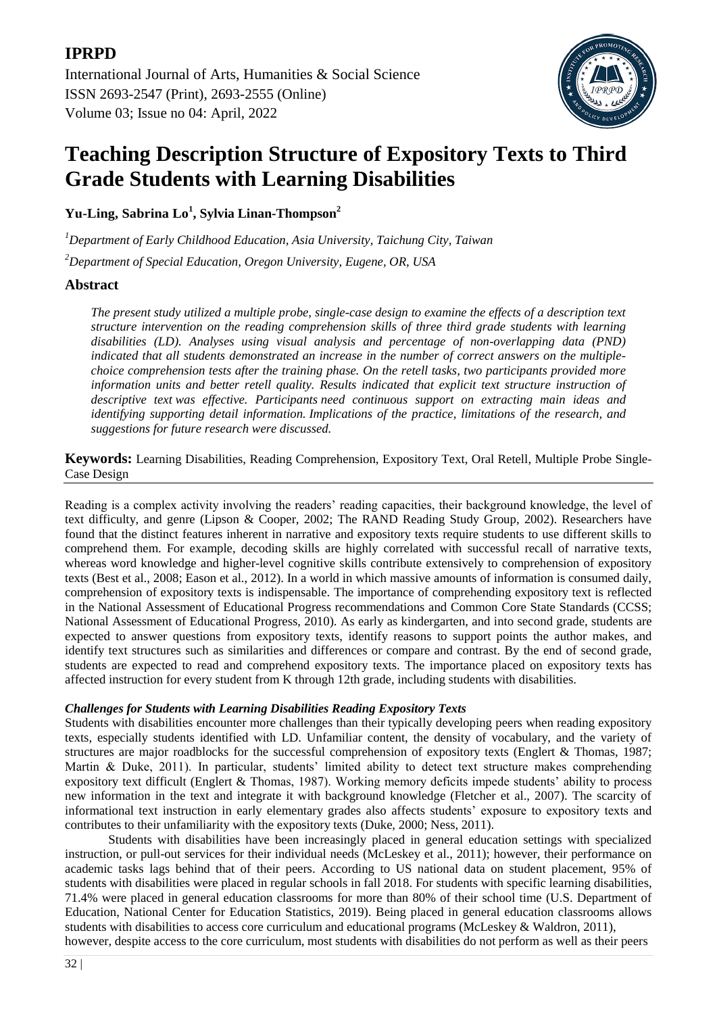

# **Teaching Description Structure of Expository Texts to Third Grade Students with Learning Disabilities**

**Yu-Ling, Sabrina Lo<sup>1</sup> , Sylvia Linan-Thompson<sup>2</sup>**

*<sup>1</sup>Department of Early Childhood Education, Asia University, Taichung City, Taiwan*

*<sup>2</sup>Department of Special Education, Oregon University, Eugene, OR, USA*

# **Abstract**

*The present study utilized a multiple probe, single-case design to examine the effects of a description text structure intervention on the reading comprehension skills of three third grade students with learning disabilities (LD). Analyses using visual analysis and percentage of non-overlapping data (PND) indicated that all students demonstrated an increase in the number of correct answers on the multiplechoice comprehension tests after the training phase. On the retell tasks, two participants provided more information units and better retell quality. Results indicated that explicit text structure instruction of descriptive text was effective. Participants need continuous support on extracting main ideas and identifying supporting detail information. Implications of the practice, limitations of the research, and suggestions for future research were discussed.*

**Keywords:** Learning Disabilities, Reading Comprehension, Expository Text, Oral Retell, Multiple Probe Single-Case Design

Reading is a complex activity involving the readers' reading capacities, their background knowledge, the level of text difficulty, and genre (Lipson & Cooper, 2002; The RAND Reading Study Group, 2002). Researchers have found that the distinct features inherent in narrative and expository texts require students to use different skills to comprehend them. For example, decoding skills are highly correlated with successful recall of narrative texts, whereas word knowledge and higher-level cognitive skills contribute extensively to comprehension of expository texts (Best et al., 2008; Eason et al., 2012). In a world in which massive amounts of information is consumed daily, comprehension of expository texts is indispensable. The importance of comprehending expository text is reflected in the National Assessment of Educational Progress recommendations and Common Core State Standards (CCSS; National Assessment of Educational Progress, 2010). As early as kindergarten, and into second grade, students are expected to answer questions from expository texts, identify reasons to support points the author makes, and identify text structures such as similarities and differences or compare and contrast. By the end of second grade, students are expected to read and comprehend expository texts. The importance placed on expository texts has affected instruction for every student from K through 12th grade, including students with disabilities.

# *Challenges for Students with Learning Disabilities Reading Expository Texts*

Students with disabilities encounter more challenges than their typically developing peers when reading expository texts, especially students identified with LD. Unfamiliar content, the density of vocabulary, and the variety of structures are major roadblocks for the successful comprehension of expository texts (Englert & Thomas, 1987; Martin & Duke, 2011). In particular, students' limited ability to detect text structure makes comprehending expository text difficult (Englert & Thomas, 1987). Working memory deficits impede students' ability to process new information in the text and integrate it with background knowledge (Fletcher et al., 2007). The scarcity of informational text instruction in early elementary grades also affects students' exposure to expository texts and contributes to their unfamiliarity with the expository texts (Duke, 2000; Ness, 2011).

Students with disabilities have been increasingly placed in general education settings with specialized instruction, or pull-out services for their individual needs (McLeskey et al., 2011); however, their performance on academic tasks lags behind that of their peers. According to US national data on student placement, 95% of students with disabilities were placed in regular schools in fall 2018. For students with specific learning disabilities, 71.4% were placed in general education classrooms for more than 80% of their school time (U.S. Department of Education, National Center for Education Statistics, 2019). Being placed in general education classrooms allows students with disabilities to access core curriculum and educational programs (McLeskey & Waldron, 2011),

however, despite access to the core curriculum, most students with disabilities do not perform as well as their peers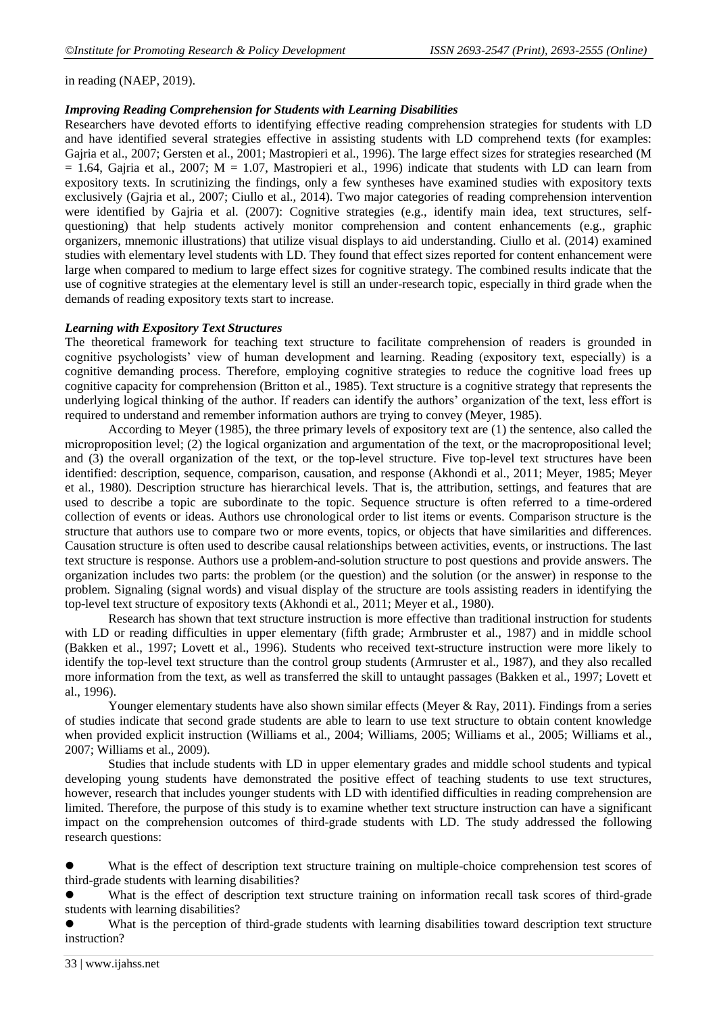in reading (NAEP, 2019).

### *Improving Reading Comprehension for Students with Learning Disabilities*

Researchers have devoted efforts to identifying effective reading comprehension strategies for students with LD and have identified several strategies effective in assisting students with LD comprehend texts (for examples: Gajria et al., 2007; Gersten et al., 2001; Mastropieri et al., 1996). The large effect sizes for strategies researched (M  $= 1.64$ , Gajria et al., 2007; M  $= 1.07$ , Mastropieri et al., 1996) indicate that students with LD can learn from expository texts. In scrutinizing the findings, only a few syntheses have examined studies with expository texts exclusively (Gajria et al., 2007; Ciullo et al., 2014). Two major categories of reading comprehension intervention were identified by Gajria et al. (2007): Cognitive strategies (e.g., identify main idea, text structures, selfquestioning) that help students actively monitor comprehension and content enhancements (e.g., graphic organizers, mnemonic illustrations) that utilize visual displays to aid understanding. Ciullo et al. (2014) examined studies with elementary level students with LD. They found that effect sizes reported for content enhancement were large when compared to medium to large effect sizes for cognitive strategy. The combined results indicate that the use of cognitive strategies at the elementary level is still an under-research topic, especially in third grade when the demands of reading expository texts start to increase.

## *Learning with Expository Text Structures*

The theoretical framework for teaching text structure to facilitate comprehension of readers is grounded in cognitive psychologists' view of human development and learning. Reading (expository text, especially) is a cognitive demanding process. Therefore, employing cognitive strategies to reduce the cognitive load frees up cognitive capacity for comprehension (Britton et al., 1985). Text structure is a cognitive strategy that represents the underlying logical thinking of the author. If readers can identify the authors' organization of the text, less effort is required to understand and remember information authors are trying to convey (Meyer, 1985).

According to Meyer (1985), the three primary levels of expository text are (1) the sentence, also called the microproposition level; (2) the logical organization and argumentation of the text, or the macropropositional level; and (3) the overall organization of the text, or the top-level structure. Five top-level text structures have been identified: description, sequence, comparison, causation, and response (Akhondi et al., 2011; Meyer, 1985; Meyer et al., 1980). Description structure has hierarchical levels. That is, the attribution, settings, and features that are used to describe a topic are subordinate to the topic. Sequence structure is often referred to a time-ordered collection of events or ideas. Authors use chronological order to list items or events. Comparison structure is the structure that authors use to compare two or more events, topics, or objects that have similarities and differences. Causation structure is often used to describe causal relationships between activities, events, or instructions. The last text structure is response. Authors use a problem-and-solution structure to post questions and provide answers. The organization includes two parts: the problem (or the question) and the solution (or the answer) in response to the problem. Signaling (signal words) and visual display of the structure are tools assisting readers in identifying the top-level text structure of expository texts (Akhondi et al., 2011; Meyer et al., 1980).

Research has shown that text structure instruction is more effective than traditional instruction for students with LD or reading difficulties in upper elementary (fifth grade; Armbruster et al., 1987) and in middle school (Bakken et al., 1997; Lovett et al., 1996). Students who received text-structure instruction were more likely to identify the top-level text structure than the control group students (Armruster et al., 1987), and they also recalled more information from the text, as well as transferred the skill to untaught passages (Bakken et al., 1997; Lovett et al., 1996).

Younger elementary students have also shown similar effects (Meyer & Ray, 2011). Findings from a series of studies indicate that second grade students are able to learn to use text structure to obtain content knowledge when provided explicit instruction (Williams et al., 2004; Williams, 2005; Williams et al., 2005; Williams et al., 2007; Williams et al., 2009).

Studies that include students with LD in upper elementary grades and middle school students and typical developing young students have demonstrated the positive effect of teaching students to use text structures, however, research that includes younger students with LD with identified difficulties in reading comprehension are limited. Therefore, the purpose of this study is to examine whether text structure instruction can have a significant impact on the comprehension outcomes of third-grade students with LD. The study addressed the following research questions:

 What is the effect of description text structure training on multiple-choice comprehension test scores of third-grade students with learning disabilities?

What is the effect of description text structure training on information recall task scores of third-grade students with learning disabilities?

 What is the perception of third-grade students with learning disabilities toward description text structure instruction?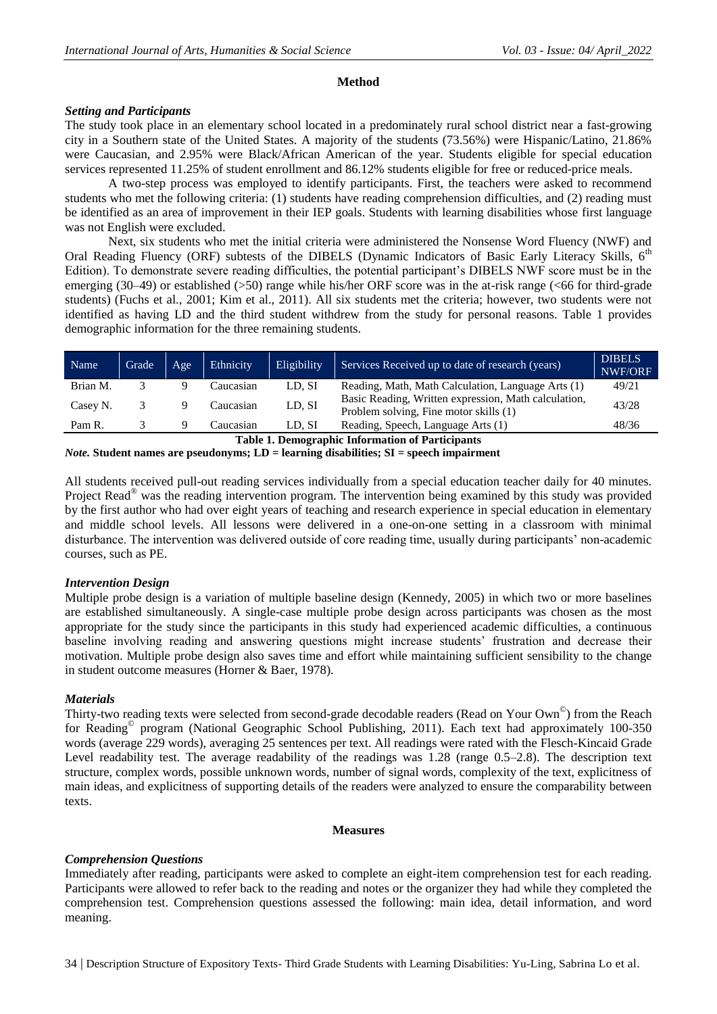## **Method**

# *Setting and Participants*

The study took place in an elementary school located in a predominately rural school district near a fast-growing city in a Southern state of the United States. A majority of the students (73.56%) were Hispanic/Latino, 21.86% were Caucasian, and 2.95% were Black/African American of the year. Students eligible for special education services represented 11.25% of student enrollment and 86.12% students eligible for free or reduced-price meals.

A two-step process was employed to identify participants. First, the teachers were asked to recommend students who met the following criteria: (1) students have reading comprehension difficulties, and (2) reading must be identified as an area of improvement in their IEP goals. Students with learning disabilities whose first language was not English were excluded.

Next, six students who met the initial criteria were administered the Nonsense Word Fluency (NWF) and Oral Reading Fluency (ORF) subtests of the DIBELS (Dynamic Indicators of Basic Early Literacy Skills, 6<sup>th</sup> Edition). To demonstrate severe reading difficulties, the potential participant's DIBELS NWF score must be in the emerging (30–49) or established ( $>50$ ) range while his/her ORF score was in the at-risk range ( $< 66$  for third-grade students) (Fuchs et al., 2001; Kim et al., 2011). All six students met the criteria; however, two students were not identified as having LD and the third student withdrew from the study for personal reasons. Table 1 provides demographic information for the three remaining students.

| Name                                                    | Grade | Age | Ethnicity | Eligibility | Services Received up to date of research (years).                                              | <b>DIBELS</b><br>NWF/ORF |
|---------------------------------------------------------|-------|-----|-----------|-------------|------------------------------------------------------------------------------------------------|--------------------------|
| Brian M.                                                |       |     | Caucasian | LD. SI      | Reading, Math, Math Calculation, Language Arts (1)                                             | 49/21                    |
| Casey N.                                                | 3     |     | Caucasian | LD, SI      | Basic Reading, Written expression, Math calculation,<br>Problem solving, Fine motor skills (1) | 43/28                    |
| Pam R.                                                  |       |     | Caucasian | LD. SI      | Reading, Speech, Language Arts (1)                                                             | 48/36                    |
| <b>Table 1. Demographic Information of Participants</b> |       |     |           |             |                                                                                                |                          |

*Note.* **Student names are pseudonyms; LD = learning disabilities; SI = speech impairment**

All students received pull-out reading services individually from a special education teacher daily for 40 minutes. Project Read<sup>®</sup> was the reading intervention program. The intervention being examined by this study was provided by the first author who had over eight years of teaching and research experience in special education in elementary and middle school levels. All lessons were delivered in a one-on-one setting in a classroom with minimal disturbance. The intervention was delivered outside of core reading time, usually during participants' non-academic courses, such as PE.

# *Intervention Design*

Multiple probe design is a variation of multiple baseline design (Kennedy, 2005) in which two or more baselines are established simultaneously. A single-case multiple probe design across participants was chosen as the most appropriate for the study since the participants in this study had experienced academic difficulties, a continuous baseline involving reading and answering questions might increase students' frustration and decrease their motivation. Multiple probe design also saves time and effort while maintaining sufficient sensibility to the change in student outcome measures (Horner & Baer, 1978).

# *Materials*

Thirty-two reading texts were selected from second-grade decodable readers (Read on Your Own<sup>©</sup>) from the Reach for Reading<sup>®</sup> program (National Geographic School Publishing, 2011). Each text had approximately 100-350 words (average 229 words), averaging 25 sentences per text. All readings were rated with the Flesch-Kincaid Grade Level readability test. The average readability of the readings was 1.28 (range 0.5–2.8). The description text structure, complex words, possible unknown words, number of signal words, complexity of the text, explicitness of main ideas, and explicitness of supporting details of the readers were analyzed to ensure the comparability between texts.

#### **Measures**

# *Comprehension Questions*

Immediately after reading, participants were asked to complete an eight-item comprehension test for each reading. Participants were allowed to refer back to the reading and notes or the organizer they had while they completed the comprehension test. Comprehension questions assessed the following: main idea, detail information, and word meaning.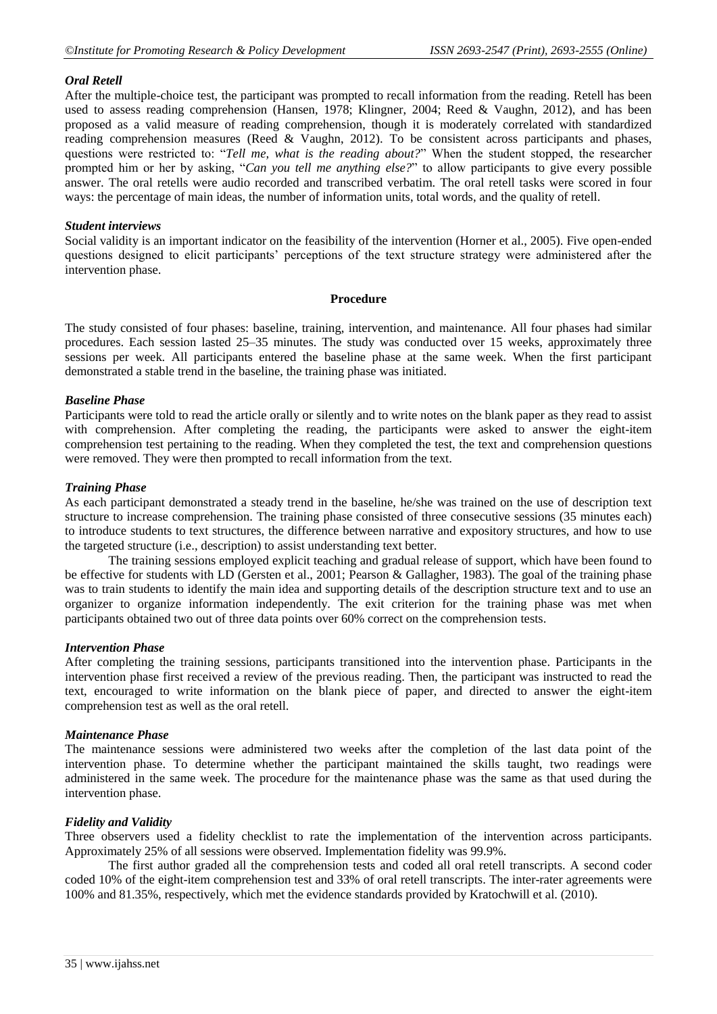### *Oral Retell*

After the multiple-choice test, the participant was prompted to recall information from the reading. Retell has been used to assess reading comprehension (Hansen, 1978; Klingner, 2004; Reed & Vaughn, 2012), and has been proposed as a valid measure of reading comprehension, though it is moderately correlated with standardized reading comprehension measures (Reed & Vaughn, 2012). To be consistent across participants and phases, questions were restricted to: "*Tell me, what is the reading about?*" When the student stopped, the researcher prompted him or her by asking, "*Can you tell me anything else?*" to allow participants to give every possible answer. The oral retells were audio recorded and transcribed verbatim. The oral retell tasks were scored in four ways: the percentage of main ideas, the number of information units, total words, and the quality of retell.

#### *Student interviews*

Social validity is an important indicator on the feasibility of the intervention (Horner et al., 2005). Five open-ended questions designed to elicit participants' perceptions of the text structure strategy were administered after the intervention phase.

## **Procedure**

The study consisted of four phases: baseline, training, intervention, and maintenance. All four phases had similar procedures. Each session lasted 25–35 minutes. The study was conducted over 15 weeks, approximately three sessions per week. All participants entered the baseline phase at the same week. When the first participant demonstrated a stable trend in the baseline, the training phase was initiated.

## *Baseline Phase*

Participants were told to read the article orally or silently and to write notes on the blank paper as they read to assist with comprehension. After completing the reading, the participants were asked to answer the eight-item comprehension test pertaining to the reading. When they completed the test, the text and comprehension questions were removed. They were then prompted to recall information from the text.

#### *Training Phase*

As each participant demonstrated a steady trend in the baseline, he/she was trained on the use of description text structure to increase comprehension. The training phase consisted of three consecutive sessions (35 minutes each) to introduce students to text structures, the difference between narrative and expository structures, and how to use the targeted structure (i.e., description) to assist understanding text better.

The training sessions employed explicit teaching and gradual release of support, which have been found to be effective for students with LD (Gersten et al., 2001; Pearson & Gallagher, 1983). The goal of the training phase was to train students to identify the main idea and supporting details of the description structure text and to use an organizer to organize information independently. The exit criterion for the training phase was met when participants obtained two out of three data points over 60% correct on the comprehension tests.

#### *Intervention Phase*

After completing the training sessions, participants transitioned into the intervention phase. Participants in the intervention phase first received a review of the previous reading. Then, the participant was instructed to read the text, encouraged to write information on the blank piece of paper, and directed to answer the eight-item comprehension test as well as the oral retell.

## *Maintenance Phase*

The maintenance sessions were administered two weeks after the completion of the last data point of the intervention phase. To determine whether the participant maintained the skills taught, two readings were administered in the same week. The procedure for the maintenance phase was the same as that used during the intervention phase.

## *Fidelity and Validity*

Three observers used a fidelity checklist to rate the implementation of the intervention across participants. Approximately 25% of all sessions were observed. Implementation fidelity was 99.9%.

The first author graded all the comprehension tests and coded all oral retell transcripts. A second coder coded 10% of the eight-item comprehension test and 33% of oral retell transcripts. The inter-rater agreements were 100% and 81.35%, respectively, which met the evidence standards provided by Kratochwill et al. (2010).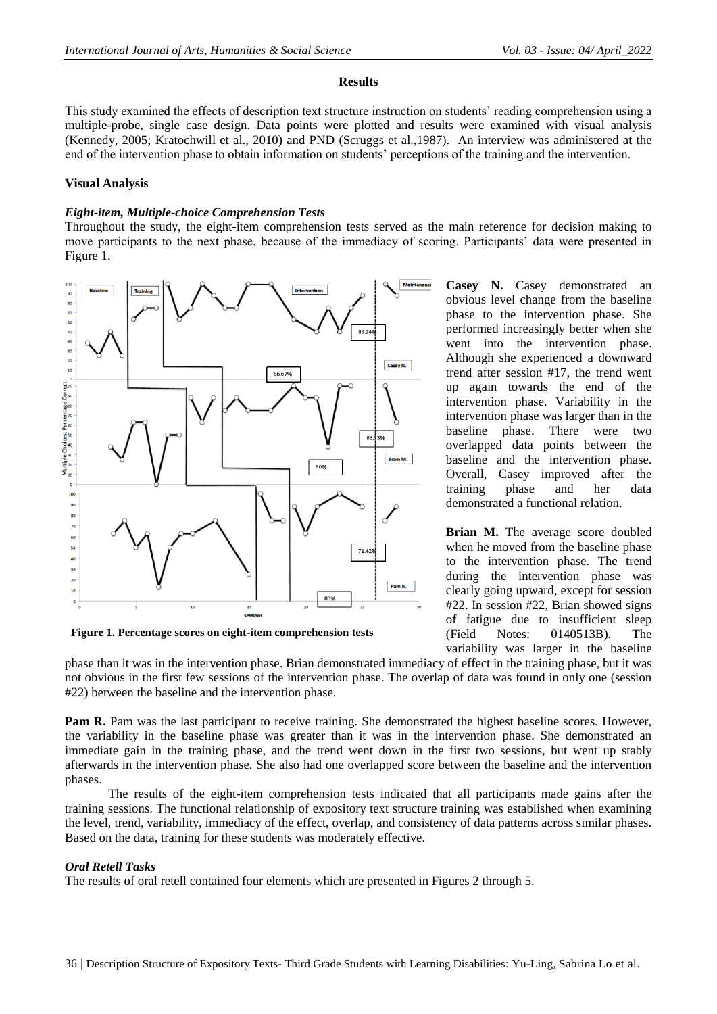#### **Results**

This study examined the effects of description text structure instruction on students' reading comprehension using a multiple-probe, single case design. Data points were plotted and results were examined with visual analysis (Kennedy, 2005; Kratochwill et al., 2010) and PND (Scruggs et al.,1987). An interview was administered at the end of the intervention phase to obtain information on students' perceptions of the training and the intervention.

## **Visual Analysis**

## *Eight-item, Multiple-choice Comprehension Tests*

Throughout the study, the eight-item comprehension tests served as the main reference for decision making to move participants to the next phase, because of the immediacy of scoring. Participants' data were presented in Figure 1.



**Figure 1. Percentage scores on eight-item comprehension tests**

**Casey N.** Casey demonstrated an obvious level change from the baseline phase to the intervention phase. She performed increasingly better when she went into the intervention phase. Although she experienced a downward trend after session #17, the trend went up again towards the end of the intervention phase. Variability in the intervention phase was larger than in the baseline phase. There were two overlapped data points between the baseline and the intervention phase. Overall, Casey improved after the training phase and her data demonstrated a functional relation.

**Brian M.** The average score doubled when he moved from the baseline phase to the intervention phase. The trend during the intervention phase was clearly going upward, except for session #22. In session #22, Brian showed signs of fatigue due to insufficient sleep (Field Notes: 0140513B). The variability was larger in the baseline

phase than it was in the intervention phase. Brian demonstrated immediacy of effect in the training phase, but it was not obvious in the first few sessions of the intervention phase. The overlap of data was found in only one (session #22) between the baseline and the intervention phase.

Pam R. Pam was the last participant to receive training. She demonstrated the highest baseline scores. However, the variability in the baseline phase was greater than it was in the intervention phase. She demonstrated an immediate gain in the training phase, and the trend went down in the first two sessions, but went up stably afterwards in the intervention phase. She also had one overlapped score between the baseline and the intervention phases.

The results of the eight-item comprehension tests indicated that all participants made gains after the training sessions. The functional relationship of expository text structure training was established when examining the level, trend, variability, immediacy of the effect, overlap, and consistency of data patterns across similar phases. Based on the data, training for these students was moderately effective.

## *Oral Retell Tasks*

The results of oral retell contained four elements which are presented in Figures 2 through 5.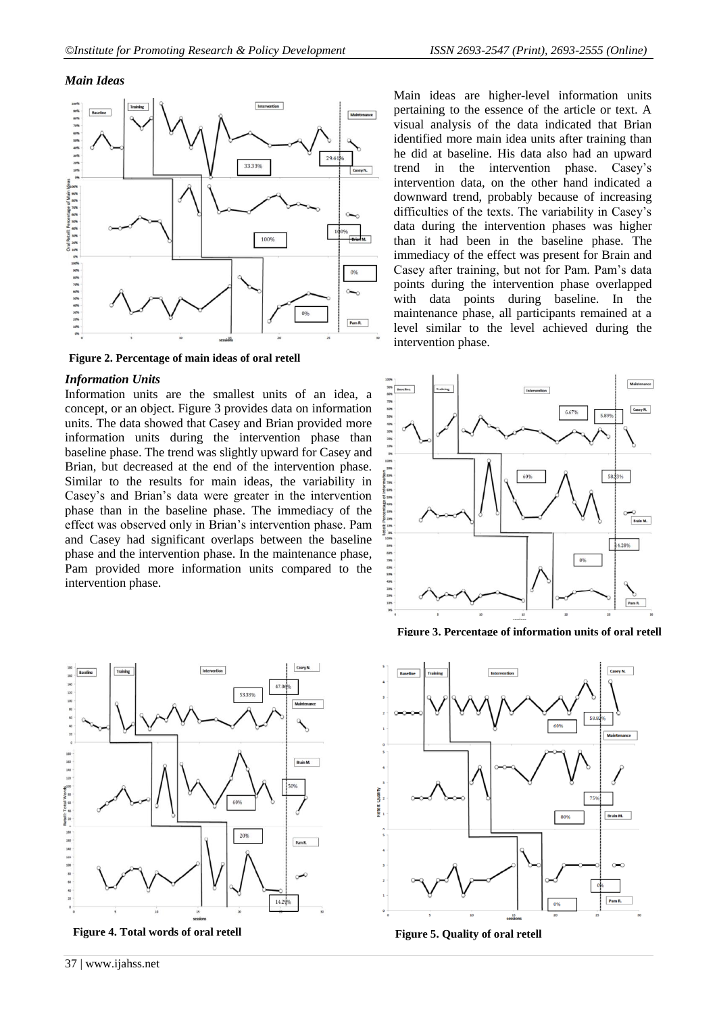#### *Main Ideas*



**Figure 2. Percentage of main ideas of oral retell**

#### *Information Units*

Information units are the smallest units of an idea, a concept, or an object. Figure 3 provides data on information units. The data showed that Casey and Brian provided more information units during the intervention phase than baseline phase. The trend was slightly upward for Casey and Brian, but decreased at the end of the intervention phase. Similar to the results for main ideas, the variability in Casey's and Brian's data were greater in the intervention phase than in the baseline phase. The immediacy of the effect was observed only in Brian's intervention phase. Pam and Casey had significant overlaps between the baseline phase and the intervention phase. In the maintenance phase, Pam provided more information units compared to the intervention phase.

Main ideas are higher-level information units pertaining to the essence of the article or text. A visual analysis of the data indicated that Brian identified more main idea units after training than he did at baseline. His data also had an upward trend in the intervention phase. Casey's intervention data, on the other hand indicated a downward trend, probably because of increasing difficulties of the texts. The variability in Casey's data during the intervention phases was higher than it had been in the baseline phase. The immediacy of the effect was present for Brain and Casey after training, but not for Pam. Pam's data points during the intervention phase overlapped with data points during baseline. In the maintenance phase, all participants remained at a level similar to the level achieved during the intervention phase.



**Figure 3. Percentage of information units of oral retell**



**Figure 4. Total words of oral retell Figure 5. Quality of oral retell**



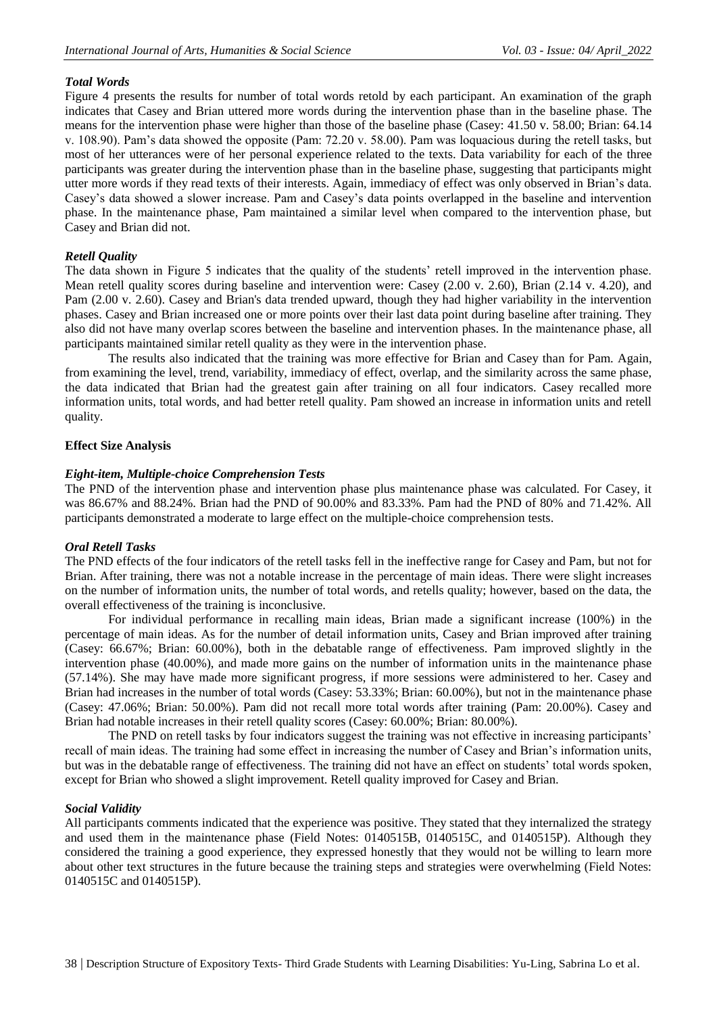# *Total Words*

Figure 4 presents the results for number of total words retold by each participant. An examination of the graph indicates that Casey and Brian uttered more words during the intervention phase than in the baseline phase. The means for the intervention phase were higher than those of the baseline phase (Casey: 41.50 v. 58.00; Brian: 64.14 v. 108.90). Pam's data showed the opposite (Pam: 72.20 v. 58.00). Pam was loquacious during the retell tasks, but most of her utterances were of her personal experience related to the texts. Data variability for each of the three participants was greater during the intervention phase than in the baseline phase, suggesting that participants might utter more words if they read texts of their interests. Again, immediacy of effect was only observed in Brian's data. Casey's data showed a slower increase. Pam and Casey's data points overlapped in the baseline and intervention phase. In the maintenance phase, Pam maintained a similar level when compared to the intervention phase, but Casey and Brian did not.

# *Retell Quality*

The data shown in Figure 5 indicates that the quality of the students' retell improved in the intervention phase. Mean retell quality scores during baseline and intervention were: Casey (2.00 v. 2.60), Brian (2.14 v. 4.20), and Pam (2.00 v. 2.60). Casey and Brian's data trended upward, though they had higher variability in the intervention phases. Casey and Brian increased one or more points over their last data point during baseline after training. They also did not have many overlap scores between the baseline and intervention phases. In the maintenance phase, all participants maintained similar retell quality as they were in the intervention phase.

The results also indicated that the training was more effective for Brian and Casey than for Pam. Again, from examining the level, trend, variability, immediacy of effect, overlap, and the similarity across the same phase, the data indicated that Brian had the greatest gain after training on all four indicators. Casey recalled more information units, total words, and had better retell quality. Pam showed an increase in information units and retell quality.

# **Effect Size Analysis**

# *Eight-item, Multiple-choice Comprehension Tests*

The PND of the intervention phase and intervention phase plus maintenance phase was calculated. For Casey, it was 86.67% and 88.24%. Brian had the PND of 90.00% and 83.33%. Pam had the PND of 80% and 71.42%. All participants demonstrated a moderate to large effect on the multiple-choice comprehension tests.

# *Oral Retell Tasks*

The PND effects of the four indicators of the retell tasks fell in the ineffective range for Casey and Pam, but not for Brian. After training, there was not a notable increase in the percentage of main ideas. There were slight increases on the number of information units, the number of total words, and retells quality; however, based on the data, the overall effectiveness of the training is inconclusive.

For individual performance in recalling main ideas, Brian made a significant increase (100%) in the percentage of main ideas. As for the number of detail information units, Casey and Brian improved after training (Casey: 66.67%; Brian: 60.00%), both in the debatable range of effectiveness. Pam improved slightly in the intervention phase (40.00%), and made more gains on the number of information units in the maintenance phase (57.14%). She may have made more significant progress, if more sessions were administered to her. Casey and Brian had increases in the number of total words (Casey: 53.33%; Brian: 60.00%), but not in the maintenance phase (Casey: 47.06%; Brian: 50.00%). Pam did not recall more total words after training (Pam: 20.00%). Casey and Brian had notable increases in their retell quality scores (Casey: 60.00%; Brian: 80.00%).

The PND on retell tasks by four indicators suggest the training was not effective in increasing participants' recall of main ideas. The training had some effect in increasing the number of Casey and Brian's information units, but was in the debatable range of effectiveness. The training did not have an effect on students' total words spoken, except for Brian who showed a slight improvement. Retell quality improved for Casey and Brian.

## *Social Validity*

All participants comments indicated that the experience was positive. They stated that they internalized the strategy and used them in the maintenance phase (Field Notes: 0140515B, 0140515C, and 0140515P). Although they considered the training a good experience, they expressed honestly that they would not be willing to learn more about other text structures in the future because the training steps and strategies were overwhelming (Field Notes: 0140515C and 0140515P).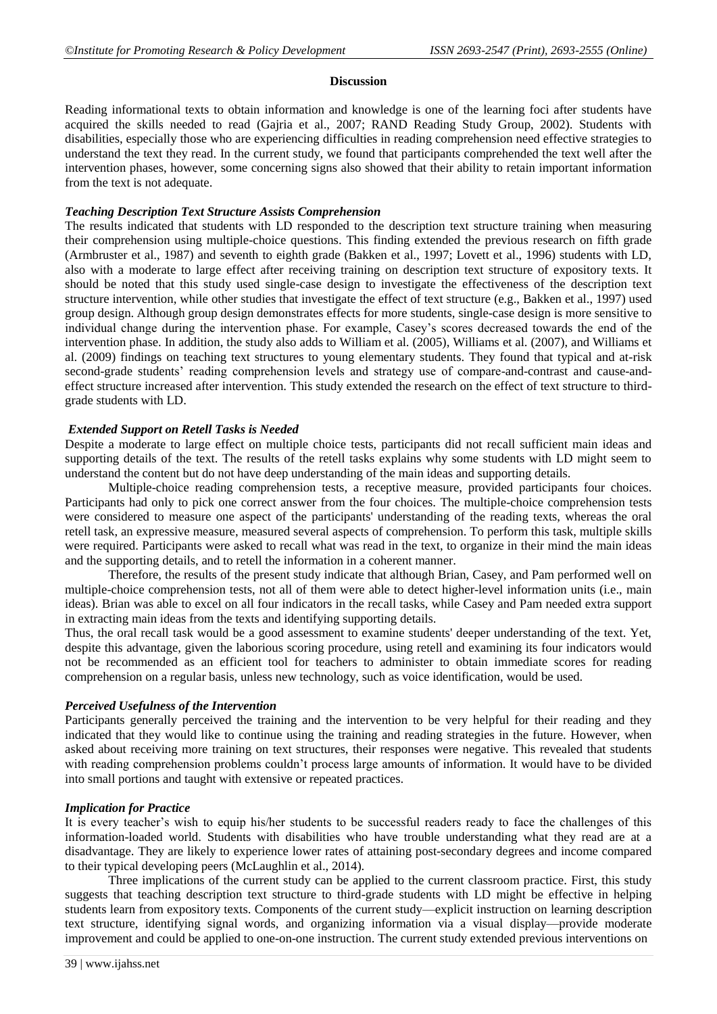#### **Discussion**

Reading informational texts to obtain information and knowledge is one of the learning foci after students have acquired the skills needed to read (Gajria et al., 2007; RAND Reading Study Group, 2002). Students with disabilities, especially those who are experiencing difficulties in reading comprehension need effective strategies to understand the text they read. In the current study, we found that participants comprehended the text well after the intervention phases, however, some concerning signs also showed that their ability to retain important information from the text is not adequate.

## *Teaching Description Text Structure Assists Comprehension*

The results indicated that students with LD responded to the description text structure training when measuring their comprehension using multiple-choice questions. This finding extended the previous research on fifth grade (Armbruster et al., 1987) and seventh to eighth grade (Bakken et al., 1997; Lovett et al., 1996) students with LD, also with a moderate to large effect after receiving training on description text structure of expository texts. It should be noted that this study used single-case design to investigate the effectiveness of the description text structure intervention, while other studies that investigate the effect of text structure (e.g., Bakken et al., 1997) used group design. Although group design demonstrates effects for more students, single-case design is more sensitive to individual change during the intervention phase. For example, Casey's scores decreased towards the end of the intervention phase. In addition, the study also adds to William et al. (2005), Williams et al. (2007), and Williams et al. (2009) findings on teaching text structures to young elementary students. They found that typical and at-risk second-grade students' reading comprehension levels and strategy use of compare-and-contrast and cause-andeffect structure increased after intervention. This study extended the research on the effect of text structure to thirdgrade students with LD.

# *Extended Support on Retell Tasks is Needed*

Despite a moderate to large effect on multiple choice tests, participants did not recall sufficient main ideas and supporting details of the text. The results of the retell tasks explains why some students with LD might seem to understand the content but do not have deep understanding of the main ideas and supporting details.

Multiple-choice reading comprehension tests, a receptive measure, provided participants four choices. Participants had only to pick one correct answer from the four choices. The multiple-choice comprehension tests were considered to measure one aspect of the participants' understanding of the reading texts, whereas the oral retell task, an expressive measure, measured several aspects of comprehension. To perform this task, multiple skills were required. Participants were asked to recall what was read in the text, to organize in their mind the main ideas and the supporting details, and to retell the information in a coherent manner.

Therefore, the results of the present study indicate that although Brian, Casey, and Pam performed well on multiple-choice comprehension tests, not all of them were able to detect higher-level information units (i.e., main ideas). Brian was able to excel on all four indicators in the recall tasks, while Casey and Pam needed extra support in extracting main ideas from the texts and identifying supporting details.

Thus, the oral recall task would be a good assessment to examine students' deeper understanding of the text. Yet, despite this advantage, given the laborious scoring procedure, using retell and examining its four indicators would not be recommended as an efficient tool for teachers to administer to obtain immediate scores for reading comprehension on a regular basis, unless new technology, such as voice identification, would be used.

## *Perceived Usefulness of the Intervention*

Participants generally perceived the training and the intervention to be very helpful for their reading and they indicated that they would like to continue using the training and reading strategies in the future. However, when asked about receiving more training on text structures, their responses were negative. This revealed that students with reading comprehension problems couldn't process large amounts of information. It would have to be divided into small portions and taught with extensive or repeated practices.

## *Implication for Practice*

It is every teacher's wish to equip his/her students to be successful readers ready to face the challenges of this information-loaded world. Students with disabilities who have trouble understanding what they read are at a disadvantage. They are likely to experience lower rates of attaining post-secondary degrees and income compared to their typical developing peers (McLaughlin et al., 2014).

Three implications of the current study can be applied to the current classroom practice. First, this study suggests that teaching description text structure to third-grade students with LD might be effective in helping students learn from expository texts. Components of the current study—explicit instruction on learning description text structure, identifying signal words, and organizing information via a visual display—provide moderate improvement and could be applied to one-on-one instruction. The current study extended previous interventions on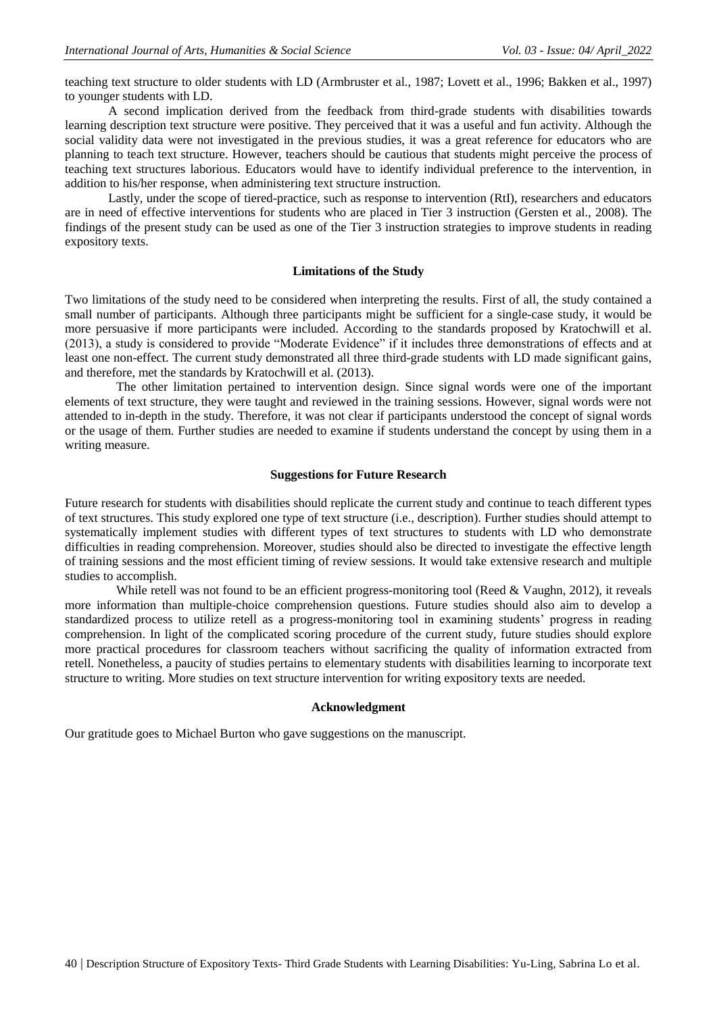teaching text structure to older students with LD (Armbruster et al., 1987; Lovett et al., 1996; Bakken et al., 1997) to younger students with LD.

A second implication derived from the feedback from third-grade students with disabilities towards learning description text structure were positive. They perceived that it was a useful and fun activity. Although the social validity data were not investigated in the previous studies, it was a great reference for educators who are planning to teach text structure. However, teachers should be cautious that students might perceive the process of teaching text structures laborious. Educators would have to identify individual preference to the intervention, in addition to his/her response, when administering text structure instruction.

Lastly, under the scope of tiered-practice, such as response to intervention (RtI), researchers and educators are in need of effective interventions for students who are placed in Tier 3 instruction (Gersten et al., 2008). The findings of the present study can be used as one of the Tier 3 instruction strategies to improve students in reading expository texts.

#### **Limitations of the Study**

Two limitations of the study need to be considered when interpreting the results. First of all, the study contained a small number of participants. Although three participants might be sufficient for a single-case study, it would be more persuasive if more participants were included. According to the standards proposed by Kratochwill et al. (2013), a study is considered to provide "Moderate Evidence" if it includes three demonstrations of effects and at least one non-effect. The current study demonstrated all three third-grade students with LD made significant gains, and therefore, met the standards by Kratochwill et al. (2013).

The other limitation pertained to intervention design. Since signal words were one of the important elements of text structure, they were taught and reviewed in the training sessions. However, signal words were not attended to in-depth in the study. Therefore, it was not clear if participants understood the concept of signal words or the usage of them. Further studies are needed to examine if students understand the concept by using them in a writing measure.

#### **Suggestions for Future Research**

Future research for students with disabilities should replicate the current study and continue to teach different types of text structures. This study explored one type of text structure (i.e., description). Further studies should attempt to systematically implement studies with different types of text structures to students with LD who demonstrate difficulties in reading comprehension. Moreover, studies should also be directed to investigate the effective length of training sessions and the most efficient timing of review sessions. It would take extensive research and multiple studies to accomplish.

While retell was not found to be an efficient progress-monitoring tool (Reed & Vaughn, 2012), it reveals more information than multiple-choice comprehension questions. Future studies should also aim to develop a standardized process to utilize retell as a progress-monitoring tool in examining students' progress in reading comprehension. In light of the complicated scoring procedure of the current study, future studies should explore more practical procedures for classroom teachers without sacrificing the quality of information extracted from retell. Nonetheless, a paucity of studies pertains to elementary students with disabilities learning to incorporate text structure to writing. More studies on text structure intervention for writing expository texts are needed.

### **Acknowledgment**

Our gratitude goes to Michael Burton who gave suggestions on the manuscript.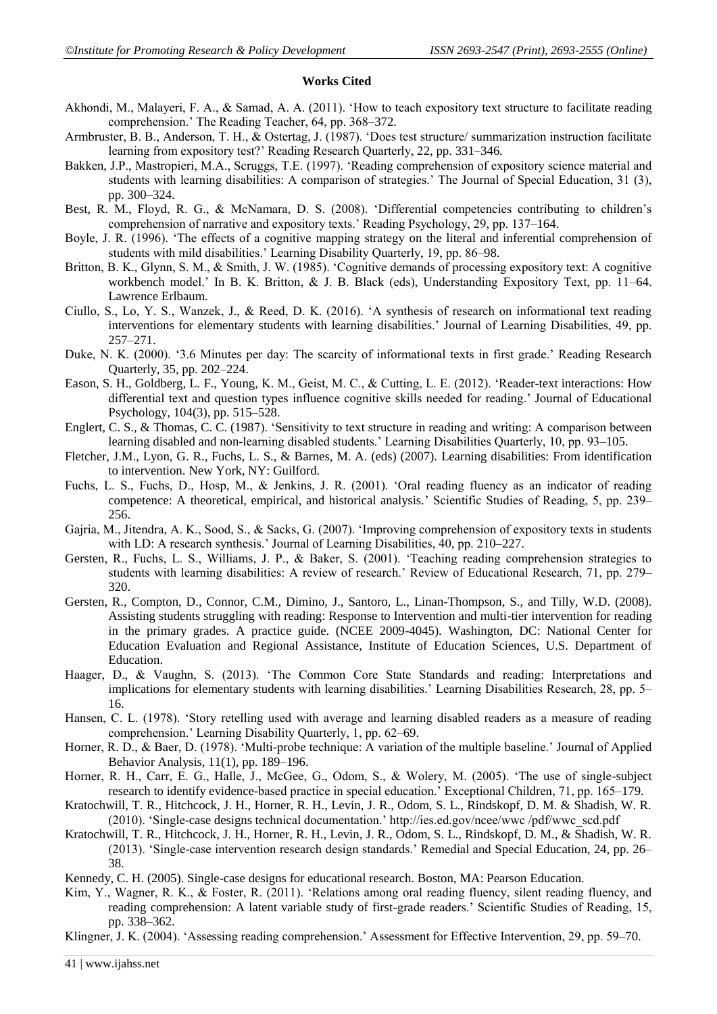## **Works Cited**

- Akhondi, M., Malayeri, F. A., & Samad, A. A. (2011). 'How to teach expository text structure to facilitate reading comprehension.' The Reading Teacher, 64, pp. 368–372.
- Armbruster, B. B., Anderson, T. H., & Ostertag, J. (1987). 'Does test structure/ summarization instruction facilitate learning from expository test?' Reading Research Quarterly, 22, pp. 331–346.
- Bakken, J.P., Mastropieri, M.A., Scruggs, T.E. (1997). 'Reading comprehension of expository science material and students with learning disabilities: A comparison of strategies.' The Journal of Special Education, 31 (3), pp. 300–324.
- Best, R. M., Floyd, R. G., & McNamara, D. S. (2008). 'Differential competencies contributing to children's comprehension of narrative and expository texts.' Reading Psychology, 29, pp. 137–164.
- Boyle, J. R. (1996). 'The effects of a cognitive mapping strategy on the literal and inferential comprehension of students with mild disabilities.' Learning Disability Quarterly, 19, pp. 86–98.
- Britton, B. K., Glynn, S. M., & Smith, J. W. (1985). 'Cognitive demands of processing expository text: A cognitive workbench model.' In B. K. Britton, & J. B. Black (eds), Understanding Expository Text, pp. 11–64. Lawrence Erlbaum.
- Ciullo, S., Lo, Y. S., Wanzek, J., & Reed, D. K. (2016). 'A synthesis of research on informational text reading interventions for elementary students with learning disabilities.' Journal of Learning Disabilities, 49, pp. 257–271.
- Duke, N. K. (2000). ‗3.6 Minutes per day: The scarcity of informational texts in first grade.' Reading Research Quarterly, 35, pp. 202–224.
- Eason, S. H., Goldberg, L. F., Young, K. M., Geist, M. C., & Cutting, L. E. (2012). 'Reader-text interactions: How differential text and question types influence cognitive skills needed for reading.' Journal of Educational Psychology, 104(3), pp. 515–528.
- Englert, C. S., & Thomas, C. C. (1987). 'Sensitivity to text structure in reading and writing: A comparison between learning disabled and non-learning disabled students.' Learning Disabilities Quarterly, 10, pp. 93–105.
- Fletcher, J.M., Lyon, G. R., Fuchs, L. S., & Barnes, M. A. (eds) (2007). Learning disabilities: From identification to intervention. New York, NY: Guilford.
- Fuchs, L. S., Fuchs, D., Hosp, M., & Jenkins, J. R. (2001). 'Oral reading fluency as an indicator of reading competence: A theoretical, empirical, and historical analysis.' Scientific Studies of Reading, 5, pp. 239– 256.
- Gajria, M., Jitendra, A. K., Sood, S., & Sacks, G. (2007). ‗Improving comprehension of expository texts in students with LD: A research synthesis.' Journal of Learning Disabilities, 40, pp. 210–227.
- Gersten, R., Fuchs, L. S., Williams, J. P., & Baker, S. (2001). ‗Teaching reading comprehension strategies to students with learning disabilities: A review of research.' Review of Educational Research, 71, pp. 279– 320.
- Gersten, R., Compton, D., Connor, C.M., Dimino, J., Santoro, L., Linan-Thompson, S., and Tilly, W.D. (2008). Assisting students struggling with reading: Response to Intervention and multi-tier intervention for reading in the primary grades. A practice guide. (NCEE 2009-4045). Washington, DC: National Center for Education Evaluation and Regional Assistance, Institute of Education Sciences, U.S. Department of Education.
- Haager, D., & Vaughn, S. (2013). 'The Common Core State Standards and reading: Interpretations and implications for elementary students with learning disabilities.' Learning Disabilities Research, 28, pp. 5– 16.
- Hansen, C. L. (1978). 'Story retelling used with average and learning disabled readers as a measure of reading comprehension.' Learning Disability Quarterly, 1, pp. 62–69.
- Horner, R. D., & Baer, D. (1978). 'Multi-probe technique: A variation of the multiple baseline.' Journal of Applied Behavior Analysis, 11(1), pp. 189–196.
- Horner, R. H., Carr, E. G., Halle, J., McGee, G., Odom, S., & Wolery, M. (2005). 'The use of single-subject research to identify evidence-based practice in special education.' Exceptional Children, 71, pp. 165–179.
- Kratochwill, T. R., Hitchcock, J. H., Horner, R. H., Levin, J. R., Odom, S. L., Rindskopf, D. M. & Shadish, W. R. (2010). ‗Single-case designs technical documentation.' http://ies.ed.gov/ncee/wwc /pdf/wwc\_scd.pdf
- Kratochwill, T. R., Hitchcock, J. H., Horner, R. H., Levin, J. R., Odom, S. L., Rindskopf, D. M., & Shadish, W. R. (2013). ‗Single-case intervention research design standards.' Remedial and Special Education, 24, pp. 26– 38.
- Kennedy, C. H. (2005). Single-case designs for educational research. Boston, MA: Pearson Education.
- Kim, Y., Wagner, R. K., & Foster, R. (2011). 'Relations among oral reading fluency, silent reading fluency, and reading comprehension: A latent variable study of first-grade readers.' Scientific Studies of Reading, 15, pp. 338–362.

Klingner, J. K. (2004). 'Assessing reading comprehension.' Assessment for Effective Intervention, 29, pp. 59–70.